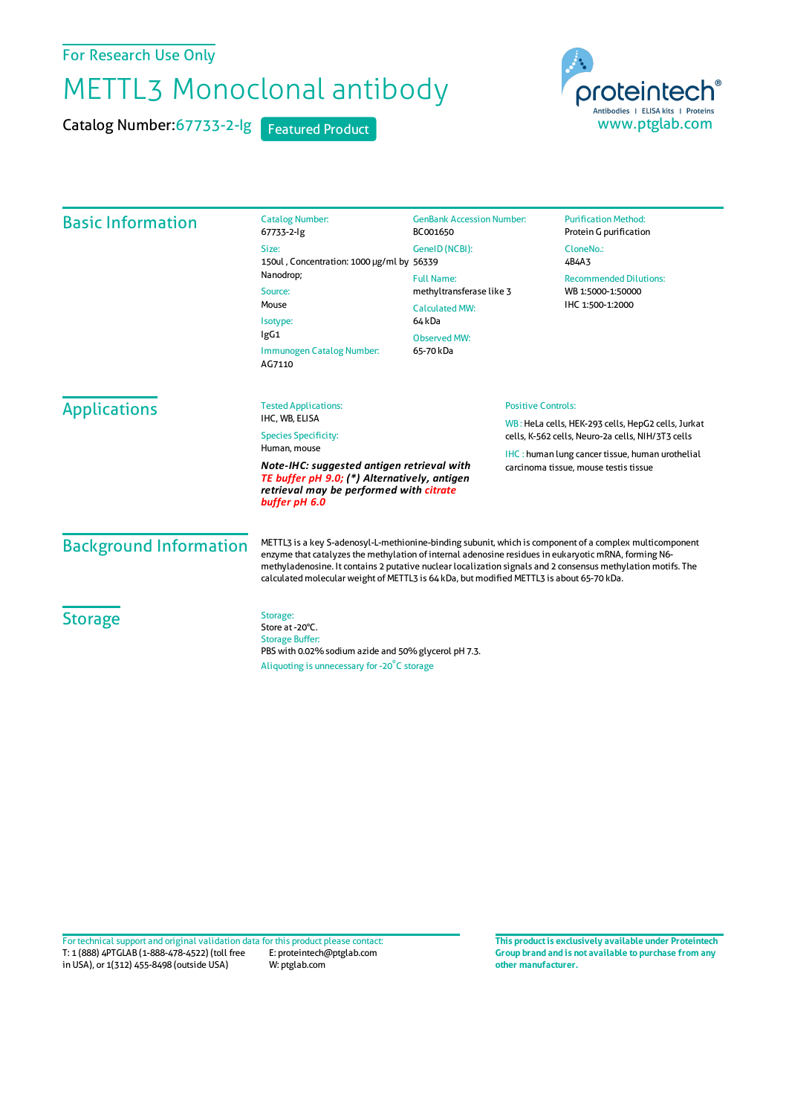For Research Use Only

## METTL3 Monoclonal antibody

Catalog Number: 67733-2-lg Featured Product

proteintech Antibodies | ELISA kits | Proteins<br>WWW.ptglab.com

| <b>Basic Information</b>      | <b>Catalog Number:</b><br>67733-2-lg                                                                                                                                                                                                                                                                                                                                                                                        | <b>GenBank Accession Number:</b><br>BC001650  | <b>Purification Method:</b><br>Protein G purification                                                   |
|-------------------------------|-----------------------------------------------------------------------------------------------------------------------------------------------------------------------------------------------------------------------------------------------------------------------------------------------------------------------------------------------------------------------------------------------------------------------------|-----------------------------------------------|---------------------------------------------------------------------------------------------------------|
|                               | Size:<br>150ul, Concentration: 1000 µg/ml by 56339<br>Nanodrop;<br>Source:<br>Mouse<br>Isotype:<br>IgG1<br>Immunogen Catalog Number:<br>AG7110                                                                                                                                                                                                                                                                              | GenelD (NCBI):                                | CloneNo.:<br>4B4A3                                                                                      |
|                               |                                                                                                                                                                                                                                                                                                                                                                                                                             | <b>Full Name:</b><br>methyltransferase like 3 | <b>Recommended Dilutions:</b><br>WB 1:5000-1:50000                                                      |
|                               |                                                                                                                                                                                                                                                                                                                                                                                                                             | <b>Calculated MW:</b><br>64 <sub>kDa</sub>    | IHC 1:500-1:2000                                                                                        |
|                               |                                                                                                                                                                                                                                                                                                                                                                                                                             | <b>Observed MW:</b><br>65-70 kDa              |                                                                                                         |
| <b>Applications</b>           | <b>Tested Applications:</b><br>IHC, WB, ELISA<br><b>Species Specificity:</b>                                                                                                                                                                                                                                                                                                                                                |                                               | <b>Positive Controls:</b>                                                                               |
|                               |                                                                                                                                                                                                                                                                                                                                                                                                                             |                                               | WB: HeLa cells, HEK-293 cells, HepG2 cells, Jurkat<br>cells, K-562 cells, Neuro-2a cells, NIH/3T3 cells |
|                               | Human, mouse<br>Note-IHC: suggested antigen retrieval with<br>TE buffer pH 9.0; (*) Alternatively, antigen<br>retrieval may be performed with citrate<br>buffer pH 6.0                                                                                                                                                                                                                                                      |                                               | IHC: human lung cancer tissue, human urothelial<br>carcinoma tissue, mouse testis tissue                |
| <b>Background Information</b> | METTL3 is a key S-adenosyl-L-methionine-binding subunit, which is component of a complex multicomponent<br>enzyme that catalyzes the methylation of internal adenosine residues in eukaryotic mRNA, forming N6-<br>methyladenosine. It contains 2 putative nuclear localization signals and 2 consensus methylation motifs. The<br>calculated molecular weight of METTL3 is 64 kDa, but modified METTL3 is about 65-70 kDa. |                                               |                                                                                                         |
| <b>Storage</b>                | Storage:<br>Store at -20°C.<br><b>Storage Buffer:</b><br>PBS with 0.02% sodium azide and 50% glycerol pH 7.3.<br>Aliquoting is unnecessary for -20°C storage                                                                                                                                                                                                                                                                |                                               |                                                                                                         |

T: 1 (888) 4PTGLAB (1-888-478-4522) (toll free in USA), or 1(312) 455-8498 (outside USA) E: proteintech@ptglab.com W: ptglab.com Fortechnical support and original validation data forthis product please contact: **This productis exclusively available under Proteintech**

**Group brand and is not available to purchase from any other manufacturer.**